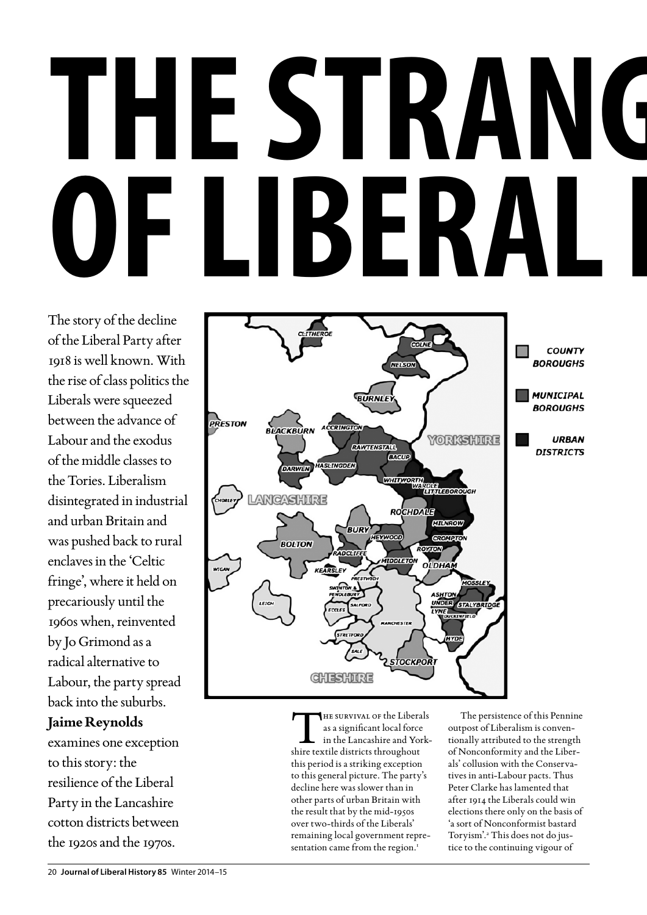# **THE STRANG<br>YET IRFRAIT** OF LIBERAI

The story of the decline of the Liberal Party after 1918 is well known. With the rise of class politics the Liberals were squeezed between the advance of Labour and the exodus of the middle classes to the Tories. Liberalism disintegrated in industrial and urban Britain and was pushed back to rural enclaves in the 'Celtic fringe', where it held on precariously until the 1960s when, reinvented by Jo Grimond as a radical alternative to Labour, the party spread back into the suburbs.

## **Jaime Reynolds**

examines one exception to this story: the resilience of the Liberal Party in the Lancashire cotton districts between the 1920s and the 1970s.



THE SURVIVAL OF the Liberals<br>
as a significant local force<br>
in the Lancashire and York-<br>
shire textile districts throughout as a significant local force shire textile districts throughout this period is a striking exception to this general picture. The party's decline here was slower than in other parts of urban Britain with the result that by the mid-1950s over two-thirds of the Liberals' remaining local government representation came from the region.<sup>1</sup>

The persistence of this Pennine outpost of Liberalism is conventionally attributed to the strength of Nonconformity and the Liberals' collusion with the Conservatives in anti-Labour pacts. Thus Peter Clarke has lamented that after 1914 the Liberals could win elections there only on the basis of 'a sort of Nonconformist bastard Toryism'.2 This does not do justice to the continuing vigour of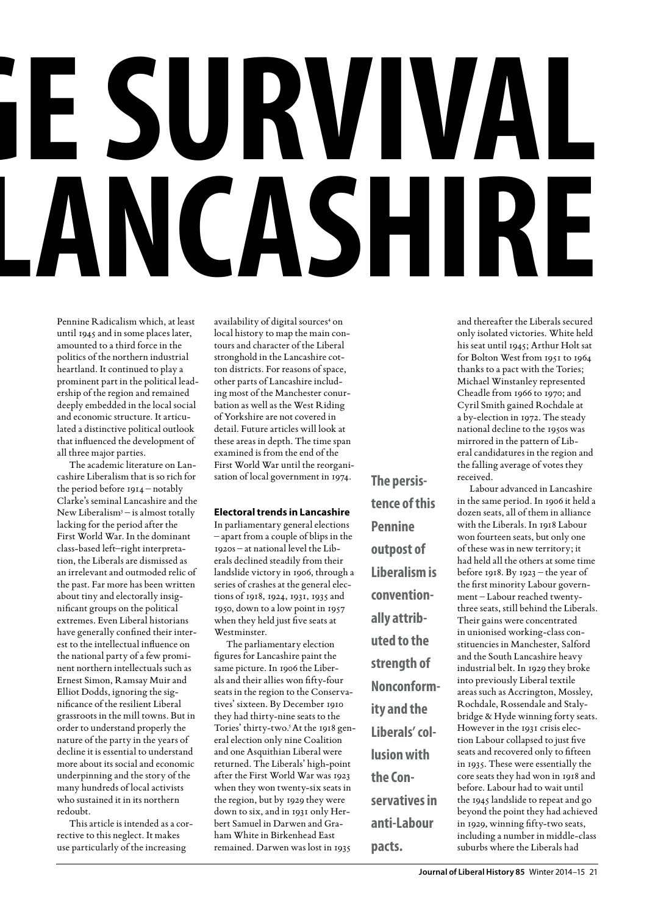## **The Strange Survival ICASHIRE**

Pennine Radicalism which, at least until 1945 and in some places later, amounted to a third force in the politics of the northern industrial heartland. It continued to play a prominent part in the political leadership of the region and remained deeply embedded in the local social and economic structure. It articulated a distinctive political outlook that influenced the development of all three major parties.

The academic literature on Lancashire Liberalism that is so rich for the period before 1914 – notably Clarke's seminal Lancashire and the New Liberalism<sup>3</sup> – is almost totally lacking for the period after the First World War. In the dominant class-based left–right interpretation, the Liberals are dismissed as an irrelevant and outmoded relic of the past. Far more has been written about tiny and electorally insignificant groups on the political extremes. Even Liberal historians have generally confined their interest to the intellectual influence on the national party of a few prominent northern intellectuals such as Ernest Simon, Ramsay Muir and Elliot Dodds, ignoring the significance of the resilient Liberal grassroots in the mill towns. But in order to understand properly the nature of the party in the years of decline it is essential to understand more about its social and economic underpinning and the story of the many hundreds of local activists who sustained it in its northern redoubt.

This article is intended as a corrective to this neglect. It makes use particularly of the increasing

availability of digital sources<sup>4</sup> on local history to map the main contours and character of the Liberal stronghold in the Lancashire cotton districts. For reasons of space, other parts of Lancashire including most of the Manchester conurbation as well as the West Riding of Yorkshire are not covered in detail. Future articles will look at these areas in depth. The time span examined is from the end of the First World War until the reorganisation of local government in 1974.

#### **Electoral trends in Lancashire**

In parliamentary general elections – apart from a couple of blips in the 1920s – at national level the Liberals declined steadily from their landslide victory in 1906, through a series of crashes at the general elections of 1918, 1924, 1931, 1935 and 1950, down to a low point in 1957 when they held just five seats at **Westminster** 

The parliamentary election figures for Lancashire paint the same picture. In 1906 the Liberals and their allies won fifty-four seats in the region to the Conservatives' sixteen. By December 1910 they had thirty-nine seats to the Tories' thirty-two.<sup>5</sup> At the 1918 general election only nine Coalition and one Asquithian Liberal were returned. The Liberals' high-point after the First World War was 1923 when they won twenty-six seats in the region, but by 1929 they were down to six, and in 1931 only Herbert Samuel in Darwen and Graham White in Birkenhead East remained. Darwen was lost in 1935

**The persistence of this Pennine outpost of Liberalism is conventionally attributed to the strength of Nonconformity and the Liberals' collusion with the Conservatives in anti-Labour pacts.**

and thereafter the Liberals secured only isolated victories. White held his seat until 1945; Arthur Holt sat for Bolton West from 1951 to 1964 thanks to a pact with the Tories; Michael Winstanley represented Cheadle from 1966 to 1970; and Cyril Smith gained Rochdale at a by-election in 1972. The steady national decline to the 1950s was mirrored in the pattern of Liberal candidatures in the region and the falling average of votes they received.

Labour advanced in Lancashire in the same period. In 1906 it held a dozen seats, all of them in alliance with the Liberals. In 1918 Labour won fourteen seats, but only one of these was in new territory; it had held all the others at some time before 1918. By 1923 – the year of the first minority Labour government – Labour reached twentythree seats, still behind the Liberals. Their gains were concentrated in unionised working-class constituencies in Manchester, Salford and the South Lancashire heavy industrial belt. In 1929 they broke into previously Liberal textile areas such as Accrington, Mossley, Rochdale, Rossendale and Stalybridge & Hyde winning forty seats. However in the 1931 crisis election Labour collapsed to just five seats and recovered only to fifteen in 1935. These were essentially the core seats they had won in 1918 and before. Labour had to wait until the 1945 landslide to repeat and go beyond the point they had achieved in 1929, winning fifty-two seats, including a number in middle-class suburbs where the Liberals had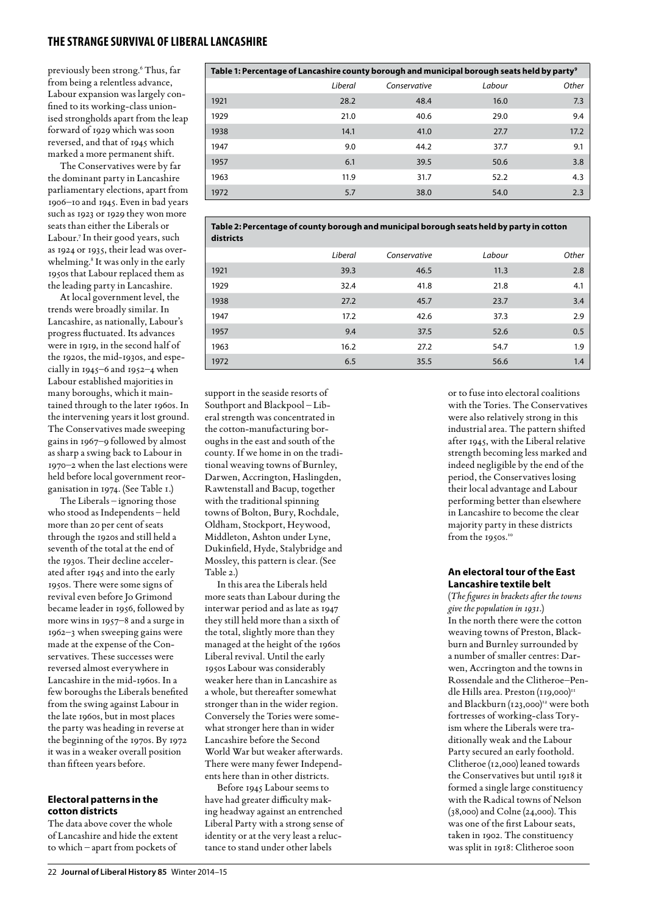previously been strong.6 Thus, far from being a relentless advance, Labour expansion was largely confined to its working-class unionised strongholds apart from the leap forward of 1929 which was soon reversed, and that of 1945 which marked a more permanent shift.

The Conservatives were by far the dominant party in Lancashire parliamentary elections, apart from 1906–10 and 1945. Even in bad years such as 1923 or 1929 they won more seats than either the Liberals or Labour.7 In their good years, such as 1924 or 1935, their lead was overwhelming.<sup>8</sup> It was only in the early 1950s that Labour replaced them as the leading party in Lancashire.

At local government level, the trends were broadly similar. In Lancashire, as nationally, Labour's progress fluctuated. Its advances were in 1919, in the second half of the 1920s, the mid-1930s, and especially in 1945–6 and 1952–4 when Labour established majorities in many boroughs, which it maintained through to the later 1960s. In the intervening years it lost ground. The Conservatives made sweeping gains in 1967–9 followed by almost as sharp a swing back to Labour in 1970–2 when the last elections were held before local government reorganisation in 1974. (See Table 1.)

The Liberals – ignoring those who stood as Independents – held more than 20 per cent of seats through the 1920s and still held a seventh of the total at the end of the 1930s. Their decline accelerated after 1945 and into the early 1950s. There were some signs of revival even before Jo Grimond became leader in 1956, followed by more wins in 1957–8 and a surge in 1962–3 when sweeping gains were made at the expense of the Conservatives. These successes were reversed almost everywhere in Lancashire in the mid-1960s. In a few boroughs the Liberals benefited from the swing against Labour in the late 1960s, but in most places the party was heading in reverse at the beginning of the 1970s. By 1972 it was in a weaker overall position than fifteen years before.

#### **Electoral patterns in the cotton districts**

The data above cover the whole of Lancashire and hide the extent to which – apart from pockets of

| Table 1: Percentage of Lancashire county borough and municipal borough seats held by party <sup>9</sup> |         |              |        |       |  |  |  |  |  |
|---------------------------------------------------------------------------------------------------------|---------|--------------|--------|-------|--|--|--|--|--|
|                                                                                                         | Liberal | Conservative | Labour | Other |  |  |  |  |  |
| 1921                                                                                                    | 28.2    | 48.4         | 16.0   | 7.3   |  |  |  |  |  |
| 1929                                                                                                    | 21.0    | 40.6         | 29.0   | 9.4   |  |  |  |  |  |
| 1938                                                                                                    | 14.1    | 41.0         | 27.7   | 17.2  |  |  |  |  |  |
| 1947                                                                                                    | 9.0     | 44.2         | 37.7   | 9.1   |  |  |  |  |  |
| 1957                                                                                                    | 6.1     | 39.5         | 50.6   | 3.8   |  |  |  |  |  |
| 1963                                                                                                    | 11.9    | 31.7         | 52.2   | 4.3   |  |  |  |  |  |
| 1972                                                                                                    | 5.7     | 38.0         | 54.0   | 2.3   |  |  |  |  |  |

**Table 2: Percentage of county borough and municipal borough seats held by party in cotton districts**

|      | Liberal | Conservative | Labour | Other |
|------|---------|--------------|--------|-------|
| 1921 | 39.3    | 46.5         | 11.3   | 2.8   |
| 1929 | 32.4    | 41.8         | 21.8   | 4.1   |
| 1938 | 27.2    | 45.7         | 23.7   | 3.4   |
| 1947 | 17.2    | 42.6         | 37.3   | 2.9   |
| 1957 | 9.4     | 37.5         | 52.6   | 0.5   |
| 1963 | 16.2    | 27.2         | 54.7   | 1.9   |
| 1972 | 6.5     | 35.5         | 56.6   | 1.4   |

support in the seaside resorts of Southport and Blackpool – Liberal strength was concentrated in the cotton-manufacturing boroughs in the east and south of the county. If we home in on the traditional weaving towns of Burnley, Darwen, Accrington, Haslingden, Rawtenstall and Bacup, together with the traditional spinning towns of Bolton, Bury, Rochdale, Oldham, Stockport, Heywood, Middleton, Ashton under Lyne, Dukinfield, Hyde, Stalybridge and Mossley, this pattern is clear. (See Table 2.)

In this area the Liberals held more seats than Labour during the interwar period and as late as 1947 they still held more than a sixth of the total, slightly more than they managed at the height of the 1960s Liberal revival. Until the early 1950s Labour was considerably weaker here than in Lancashire as a whole, but thereafter somewhat stronger than in the wider region. Conversely the Tories were somewhat stronger here than in wider Lancashire before the Second World War but weaker afterwards. There were many fewer Independents here than in other districts.

Before 1945 Labour seems to have had greater difficulty making headway against an entrenched Liberal Party with a strong sense of identity or at the very least a reluctance to stand under other labels

or to fuse into electoral coalitions with the Tories. The Conservatives were also relatively strong in this industrial area. The pattern shifted after 1945, with the Liberal relative strength becoming less marked and indeed negligible by the end of the period, the Conservatives losing their local advantage and Labour performing better than elsewhere in Lancashire to become the clear majority party in these districts from the 1950s.<sup>10</sup>

#### **An electoral tour of the East Lancashire textile belt**

(*The figures in brackets after the towns give the population in 1931*.) In the north there were the cotton weaving towns of Preston, Blackburn and Burnley surrounded by a number of smaller centres: Darwen, Accrington and the towns in Rossendale and the Clitheroe–Pendle Hills area. Preston (119,000)<sup>11</sup> and Blackburn (123,000)<sup>12</sup> were both fortresses of working-class Toryism where the Liberals were traditionally weak and the Labour Party secured an early foothold. Clitheroe (12,000) leaned towards the Conservatives but until 1918 it formed a single large constituency with the Radical towns of Nelson (38,000) and Colne (24,000). This was one of the first Labour seats, taken in 1902. The constituency was split in 1918: Clitheroe soon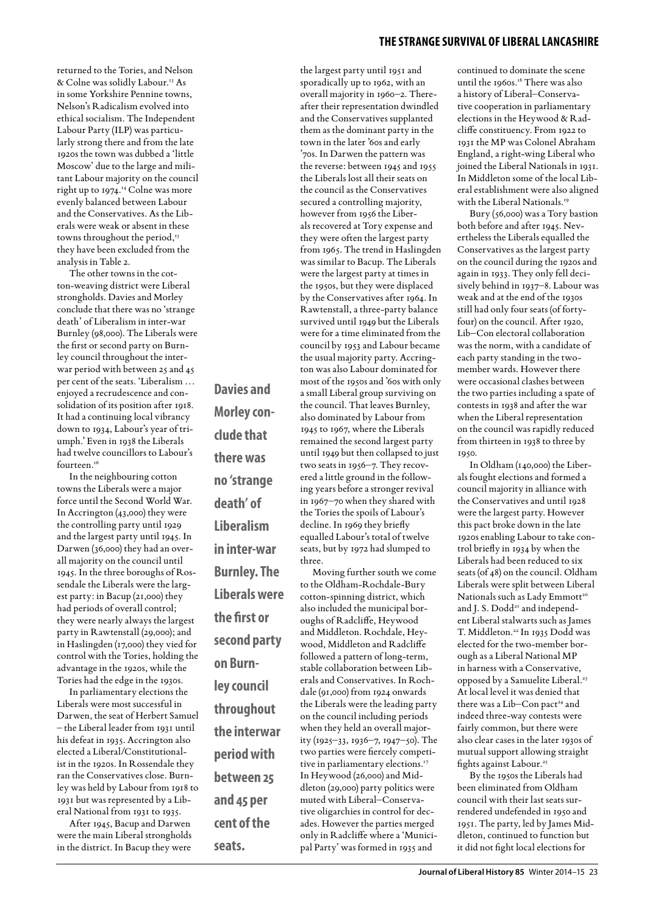returned to the Tories, and Nelson & Colne was solidly Labour.13 As in some Yorkshire Pennine towns, Nelson's Radicalism evolved into ethical socialism. The Independent Labour Party (ILP) was particularly strong there and from the late 1920s the town was dubbed a 'little Moscow' due to the large and militant Labour majority on the council right up to 1974.14 Colne was more evenly balanced between Labour and the Conservatives. As the Liberals were weak or absent in these towns throughout the period,<sup>15</sup> they have been excluded from the analysis in Table 2.

The other towns in the cotton-weaving district were Liberal strongholds. Davies and Morley conclude that there was no 'strange death' of Liberalism in inter-war Burnley (98,000). The Liberals were the first or second party on Burnley council throughout the interwar period with between 25 and 45 per cent of the seats. 'Liberalism … enjoyed a recrudescence and consolidation of its position after 1918. It had a continuing local vibrancy down to 1934, Labour's year of triumph.' Even in 1938 the Liberals had twelve councillors to Labour's fourteen.<sup>16</sup>

In the neighbouring cotton towns the Liberals were a major force until the Second World War. In Accrington (43,000) they were the controlling party until 1929 and the largest party until 1945. In Darwen (36,000) they had an overall majority on the council until 1945. In the three boroughs of Rossendale the Liberals were the largest party: in Bacup (21,000) they had periods of overall control; they were nearly always the largest party in Rawtenstall (29,000); and in Haslingden (17,000) they vied for control with the Tories, holding the advantage in the 1920s, while the Tories had the edge in the 1930s.

In parliamentary elections the Liberals were most successful in Darwen, the seat of Herbert Samuel – the Liberal leader from 1931 until his defeat in 1935. Accrington also elected a Liberal/Constitutionalist in the 1920s. In Rossendale they ran the Conservatives close. Burnley was held by Labour from 1918 to 1931 but was represented by a Liberal National from 1931 to 1935.

After 1945, Bacup and Darwen were the main Liberal strongholds in the district. In Bacup they were **Morley conclude that there was no 'strange death' of Liberalism in inter-war Burnley. The Liberals were the first or second party on Burnley council throughout the interwar period with between 25 and 45 per cent of the** 

**seats.**

**Davies and** 

the largest party until 1951 and sporadically up to 1962, with an overall majority in 1960–2. Thereafter their representation dwindled and the Conservatives supplanted them as the dominant party in the town in the later '60s and early '70s. In Darwen the pattern was the reverse: between 1945 and 1955 the Liberals lost all their seats on the council as the Conservatives secured a controlling majority, however from 1956 the Liberals recovered at Tory expense and they were often the largest party from 1965. The trend in Haslingden was similar to Bacup. The Liberals were the largest party at times in the 1950s, but they were displaced by the Conservatives after 1964. In Rawtenstall, a three-party balance survived until 1949 but the Liberals were for a time eliminated from the council by 1953 and Labour became the usual majority party. Accrington was also Labour dominated for most of the 1950s and '60s with only a small Liberal group surviving on the council. That leaves Burnley, also dominated by Labour from 1945 to 1967, where the Liberals remained the second largest party until 1949 but then collapsed to just two seats in 1956–7. They recovered a little ground in the following years before a stronger revival in 1967–70 when they shared with the Tories the spoils of Labour's decline. In 1969 they briefly equalled Labour's total of twelve seats, but by 1972 had slumped to three.

Moving further south we come to the Oldham-Rochdale-Bury cotton-spinning district, which also included the municipal boroughs of Radcliffe, Heywood and Middleton. Rochdale, Heywood, Middleton and Radcliffe followed a pattern of long-term, stable collaboration between Liberals and Conservatives. In Rochdale (91,000) from 1924 onwards the Liberals were the leading party on the council including periods when they held an overall majority (1925–33, 1936–7, 1947–50). The two parties were fiercely competitive in parliamentary elections.<sup>17</sup> In Heywood (26,000) and Middleton (29,000) party politics were muted with Liberal–Conservative oligarchies in control for decades. However the parties merged only in Radcliffe where a 'Municipal Party' was formed in 1935 and

#### **THE STRANGE SURVIVAL OF LIBERAL LANCASHIRE**

continued to dominate the scene until the 1960s.18 There was also a history of Liberal–Conservative cooperation in parliamentary elections in the Heywood & Radcliffe constituency. From 1922 to 1931 the MP was Colonel Abraham England, a right-wing Liberal who joined the Liberal Nationals in 1931. In Middleton some of the local Liberal establishment were also aligned with the Liberal Nationals.19

Bury (56,000) was a Tory bastion both before and after 1945. Nevertheless the Liberals equalled the Conservatives as the largest party on the council during the 1920s and again in 1933. They only fell decisively behind in 1937–8. Labour was weak and at the end of the 1930s still had only four seats (of fortyfour) on the council. After 1920, Lib–Con electoral collaboration was the norm, with a candidate of each party standing in the twomember wards. However there were occasional clashes between the two parties including a spate of contests in 1938 and after the war when the Liberal representation on the council was rapidly reduced from thirteen in 1938 to three by 1950.

In Oldham (140,000) the Liberals fought elections and formed a council majority in alliance with the Conservatives and until 1928 were the largest party. However this pact broke down in the late 1920s enabling Labour to take control briefly in 1934 by when the Liberals had been reduced to six seats (of 48) on the council. Oldham Liberals were split between Liberal Nationals such as Lady Emmott<sup>20</sup> and J. S. Dodd<sup>21</sup> and independent Liberal stalwarts such as James T. Middleton.22 In 1935 Dodd was elected for the two-member borough as a Liberal National MP in harness with a Conservative, opposed by a Samuelite Liberal.<sup>23</sup> At local level it was denied that there was a Lib-Con pact<sup>24</sup> and indeed three-way contests were fairly common, but there were also clear cases in the later 1930s of mutual support allowing straight fights against Labour.<sup>25</sup>

By the 1950s the Liberals had been eliminated from Oldham council with their last seats surrendered undefended in 1950 and 1951. The party, led by James Middleton, continued to function but it did not fight local elections for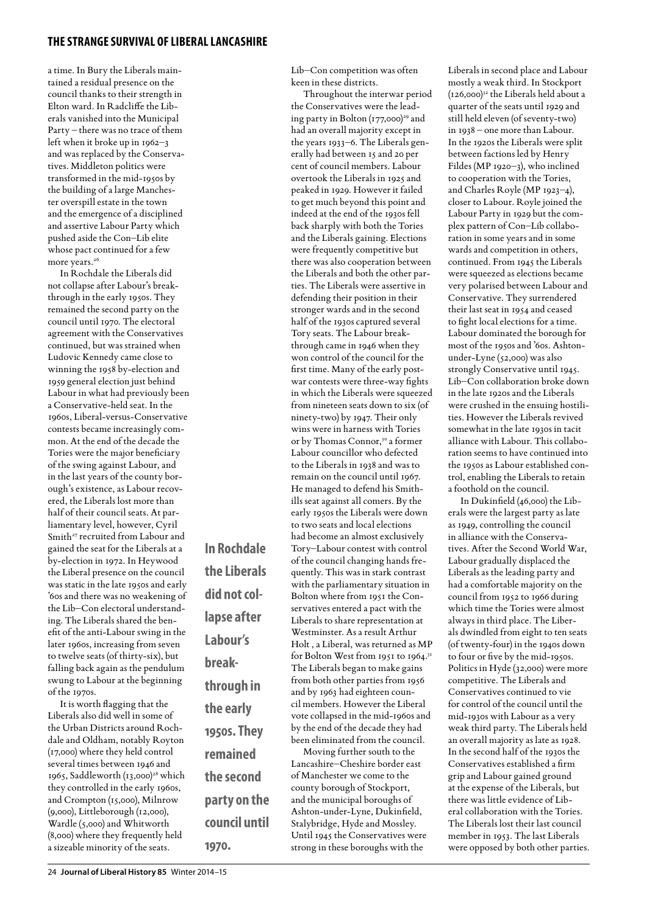a time. In Bury the Liberals maintained a residual presence on the council thanks to their strength in Elton ward. In Radcliffe the Liberals vanished into the Municipal Party – there was no trace of them left when it broke up in 1962–3 and was replaced by the Conservatives. Middleton politics were transformed in the mid-1950s by the building of a large Manchester overspill estate in the town and the emergence of a disciplined and assertive Labour Party which pushed aside the Con–Lib elite whose pact continued for a few more years.<sup>26</sup>

In Rochdale the Liberals did not collapse after Labour's breakthrough in the early 1950s. They remained the second party on the council until 1970. The electoral agreement with the Conservatives continued, but was strained when Ludovic Kennedy came close to winning the 1958 by-election and 1959 general election just behind Labour in what had previously been a Conservative-held seat. In the 1960s, Liberal-versus-Conservative contests became increasingly common. At the end of the decade the Tories were the major beneficiary of the swing against Labour, and in the last years of the county borough's existence, as Labour recovered, the Liberals lost more than half of their council seats. At parliamentary level, however, Cyril Smith<sup>27</sup> recruited from Labour and gained the seat for the Liberals at a by-election in 1972. In Heywood the Liberal presence on the council was static in the late 1950s and early '60s and there was no weakening of the Lib–Con electoral understanding. The Liberals shared the benefit of the anti-Labour swing in the later 1960s, increasing from seven to twelve seats (of thirty-six), but falling back again as the pendulum swung to Labour at the beginning of the 1970s.

It is worth flagging that the Liberals also did well in some of the Urban Districts around Rochdale and Oldham, notably Royton (17,000) where they held control several times between 1946 and 1965, Saddleworth (13,000)<sup>28</sup> which they controlled in the early 1960s, and Crompton (15,000), Milnrow (9,000), Littleborough (12,000), Wardle (5,000) and Whitworth (8,000) where they frequently held a sizeable minority of the seats.

**In Rochdale the Liberals did not collapse after Labour's breakthrough in the early 1950s. They remained the second party on the council until 1970.**

Lib–Con competition was often keen in these districts.

Throughout the interwar period the Conservatives were the leading party in Bolton  $(177,000)^{29}$  and had an overall majority except in the years 1933–6. The Liberals generally had between 15 and 20 per cent of council members. Labour overtook the Liberals in 1925 and peaked in 1929. However it failed to get much beyond this point and indeed at the end of the 1930s fell back sharply with both the Tories and the Liberals gaining. Elections were frequently competitive but there was also cooperation between the Liberals and both the other parties. The Liberals were assertive in defending their position in their stronger wards and in the second half of the 1930s captured several Tory seats. The Labour breakthrough came in 1946 when they won control of the council for the first time. Many of the early postwar contests were three-way fights in which the Liberals were squeezed from nineteen seats down to six (of ninety-two) by 1947. Their only wins were in harness with Tories or by Thomas Connor,<sup>30</sup> a former Labour councillor who defected to the Liberals in 1938 and was to remain on the council until 1967. He managed to defend his Smithills seat against all comers. By the early 1950s the Liberals were down to two seats and local elections had become an almost exclusively Tory–Labour contest with control of the council changing hands frequently. This was in stark contrast with the parliamentary situation in Bolton where from 1951 the Conservatives entered a pact with the Liberals to share representation at Westminster. As a result Arthur Holt , a Liberal, was returned as MP for Bolton West from 1951 to 1964.<sup>31</sup> The Liberals began to make gains from both other parties from 1956 and by 1963 had eighteen council members. However the Liberal vote collapsed in the mid-1960s and by the end of the decade they had been eliminated from the council. Moving further south to the Lancashire–Cheshire border east of Manchester we come to the

county borough of Stockport, and the municipal boroughs of Ashton-under-Lyne, Dukinfield, Stalybridge, Hyde and Mossley. Until 1945 the Conservatives were strong in these boroughs with the

Liberals in second place and Labour mostly a weak third. In Stockport  $(126,000)^{32}$  the Liberals held about a quarter of the seats until 1929 and still held eleven (of seventy-two) in 1938 – one more than Labour. In the 1920s the Liberals were split between factions led by Henry Fildes (MP 1920–3), who inclined to cooperation with the Tories, and Charles Royle (MP 1923–4), closer to Labour. Royle joined the Labour Party in 1929 but the complex pattern of Con–Lib collaboration in some years and in some wards and competition in others, continued. From 1945 the Liberals were squeezed as elections became very polarised between Labour and Conservative. They surrendered their last seat in 1954 and ceased to fight local elections for a time. Labour dominated the borough for most of the 1950s and '60s. Ashtonunder-Lyne (52,000) was also strongly Conservative until 1945. Lib–Con collaboration broke down in the late 1920s and the Liberals were crushed in the ensuing hostilities. However the Liberals revived somewhat in the late 1930s in tacit alliance with Labour. This collaboration seems to have continued into the 1950s as Labour established control, enabling the Liberals to retain a foothold on the council.

In Dukinfield (46,000) the Liberals were the largest party as late as 1949, controlling the council in alliance with the Conservatives. After the Second World War, Labour gradually displaced the Liberals as the leading party and had a comfortable majority on the council from 1952 to 1966 during which time the Tories were almost always in third place. The Liberals dwindled from eight to ten seats (of twenty-four) in the 1940s down to four or five by the mid-1950s. Politics in Hyde (32,000) were more competitive. The Liberals and Conservatives continued to vie for control of the council until the mid-1930s with Labour as a very weak third party. The Liberals held an overall majority as late as 1928. In the second half of the 1930s the Conservatives established a firm grip and Labour gained ground at the expense of the Liberals, but there was little evidence of Liberal collaboration with the Tories. The Liberals lost their last council member in 1953. The last Liberals were opposed by both other parties.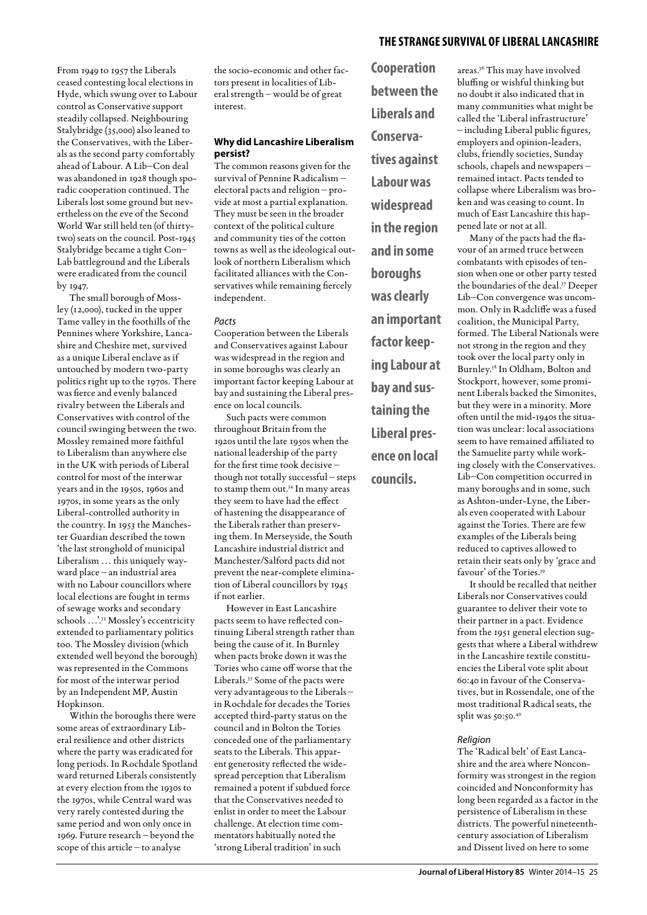From 1949 to 1957 the Liberals ceased contesting local elections in Hyde, which swung over to Labour control as Conservative support steadily collapsed. Neighbouring Stalybridge (35,000) also leaned to the Conservatives, with the Liberals as the second party comfortably ahead of Labour. A Lib–Con deal was abandoned in 1928 though sporadic cooperation continued. The Liberals lost some ground but nevertheless on the eve of the Second World War still held ten (of thirtytwo) seats on the council. Post-1945 Stalybridge became a tight Con– Lab battleground and the Liberals were eradicated from the council by 1947.

The small borough of Mossley (12,000), tucked in the upper Tame valley in the foothills of the Pennines where Yorkshire, Lancashire and Cheshire met, survived as a unique Liberal enclave as if untouched by modern two-party politics right up to the 1970s. There was fierce and evenly balanced rivalry between the Liberals and Conservatives with control of the council swinging between the two. Mossley remained more faithful to Liberalism than anywhere else in the UK with periods of Liberal control for most of the interwar years and in the 1950s, 1960s and 1970s, in some years as the only Liberal-controlled authority in the country. In 1953 the Manchester Guardian described the town 'the last stronghold of municipal Liberalism … this uniquely wayward place – an industrial area with no Labour councillors where local elections are fought in terms of sewage works and secondary schools …'.33 Mossley's eccentricity extended to parliamentary politics too. The Mossley division (which extended well beyond the borough) was represented in the Commons for most of the interwar period by an Independent MP, Austin Hopkinson.

Within the boroughs there were some areas of extraordinary Liberal resilience and other districts where the party was eradicated for long periods. In Rochdale Spotland ward returned Liberals consistently at every election from the 1930s to the 1970s, while Central ward was very rarely contested during the same period and won only once in 1969. Future research – beyond the scope of this article – to analyse

the socio-economic and other factors present in localities of Liberal strength – would be of great interest.

#### **Why did Lancashire Liberalism persist?**

The common reasons given for the survival of Pennine Radicalism – electoral pacts and religion – provide at most a partial explanation. They must be seen in the broader context of the political culture and community ties of the cotton towns as well as the ideological outlook of northern Liberalism which facilitated alliances with the Conservatives while remaining fiercely independent.

#### *Pacts*

Cooperation between the Liberals and Conservatives against Labour was widespread in the region and in some boroughs was clearly an important factor keeping Labour at bay and sustaining the Liberal presence on local councils.

Such pacts were common throughout Britain from the 1920s until the late 1950s when the national leadership of the party for the first time took decisive – though not totally successful – steps to stamp them out.34 In many areas they seem to have had the effect of hastening the disappearance of the Liberals rather than preserving them. In Merseyside, the South Lancashire industrial district and Manchester/Salford pacts did not prevent the near-complete elimination of Liberal councillors by 1945 if not earlier.

However in East Lancashire pacts seem to have reflected continuing Liberal strength rather than being the cause of it. In Burnley when pacts broke down it was the Tories who came off worse that the Liberals.35 Some of the pacts were very advantageous to the Liberals – in Rochdale for decades the Tories accepted third-party status on the council and in Bolton the Tories conceded one of the parliamentary seats to the Liberals. This apparent generosity reflected the widespread perception that Liberalism remained a potent if subdued force that the Conservatives needed to enlist in order to meet the Labour challenge. At election time commentators habitually noted the 'strong Liberal tradition' in such

**Cooperation between the Liberals and Conservatives against Labour was widespread in the region and in some boroughs was clearly an important factor keeping Labour at bay and sustaining the Liberal presence on local councils.**

areas.36 This may have involved bluffing or wishful thinking but no doubt it also indicated that in many communities what might be called the 'Liberal infrastructure' – including Liberal public figures, employers and opinion-leaders, clubs, friendly societies, Sunday schools, chapels and newspapers – remained intact. Pacts tended to collapse where Liberalism was broken and was ceasing to count. In much of East Lancashire this happened late or not at all.

Many of the pacts had the flavour of an armed truce between combatants with episodes of tension when one or other party tested the boundaries of the deal.37 Deeper Lib–Con convergence was uncommon. Only in Radcliffe was a fused coalition, the Municipal Party, formed. The Liberal Nationals were not strong in the region and they took over the local party only in Burnley.38 In Oldham, Bolton and Stockport, however, some prominent Liberals backed the Simonites, but they were in a minority. More often until the mid-1940s the situation was unclear: local associations seem to have remained affiliated to the Samuelite party while working closely with the Conservatives. Lib–Con competition occurred in many boroughs and in some, such as Ashton-under-Lyne, the Liberals even cooperated with Labour against the Tories. There are few examples of the Liberals being reduced to captives allowed to retain their seats only by 'grace and favour' of the Tories.39

It should be recalled that neither Liberals nor Conservatives could guarantee to deliver their vote to their partner in a pact. Evidence from the 1951 general election suggests that where a Liberal withdrew in the Lancashire textile constituencies the Liberal vote split about 60:40 in favour of the Conservatives, but in Rossendale, one of the most traditional Radical seats, the split was 50:50.<sup>40</sup>

#### *Religion*

The 'Radical belt' of East Lancashire and the area where Nonconformity was strongest in the region coincided and Nonconformity has long been regarded as a factor in the persistence of Liberalism in these districts. The powerful nineteenthcentury association of Liberalism and Dissent lived on here to some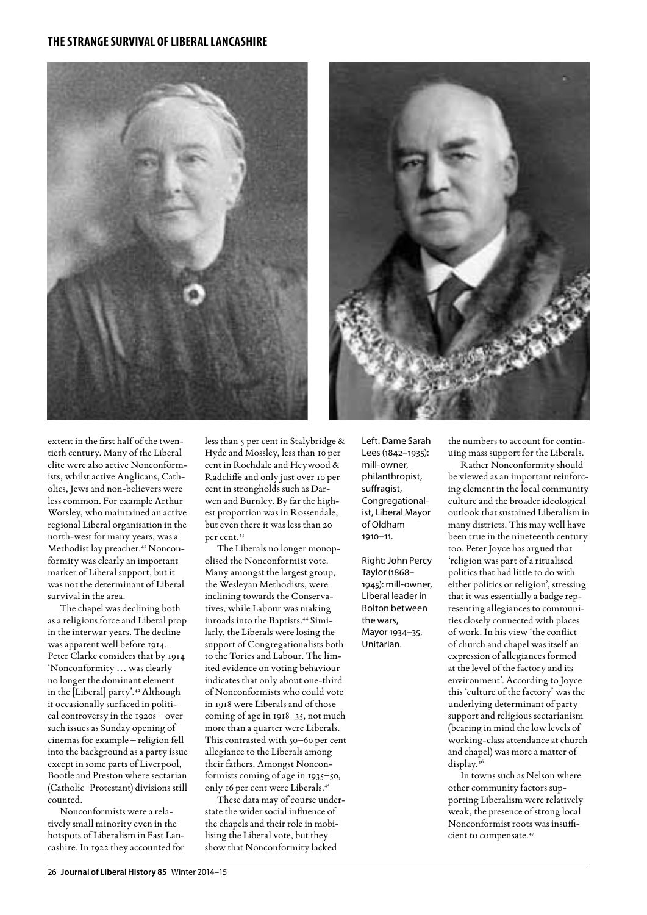



extent in the first half of the twentieth century. Many of the Liberal elite were also active Nonconformists, whilst active Anglicans, Catholics, Jews and non-believers were less common. For example Arthur Worsley, who maintained an active regional Liberal organisation in the north-west for many years, was a Methodist lay preacher.<sup>41</sup> Nonconformity was clearly an important marker of Liberal support, but it was not the determinant of Liberal survival in the area.

The chapel was declining both as a religious force and Liberal prop in the interwar years. The decline was apparent well before 1914. Peter Clarke considers that by 1914 'Nonconformity … was clearly no longer the dominant element in the [Liberal] party'.<sup>42</sup> Although it occasionally surfaced in political controversy in the 1920s – over such issues as Sunday opening of cinemas for example – religion fell into the background as a party issue except in some parts of Liverpool, Bootle and Preston where sectarian (Catholic–Protestant) divisions still counted.

Nonconformists were a relatively small minority even in the hotspots of Liberalism in East Lancashire. In 1922 they accounted for

less than 5 per cent in Stalybridge & Hyde and Mossley, less than 10 per cent in Rochdale and Heywood & Radcliffe and only just over 10 per cent in strongholds such as Darwen and Burnley. By far the highest proportion was in Rossendale, but even there it was less than 20 per cent.43

The Liberals no longer monopolised the Nonconformist vote. Many amongst the largest group, the Wesleyan Methodists, were inclining towards the Conservatives, while Labour was making inroads into the Baptists.<sup>44</sup> Similarly, the Liberals were losing the support of Congregationalists both to the Tories and Labour. The limited evidence on voting behaviour indicates that only about one-third of Nonconformists who could vote in 1918 were Liberals and of those coming of age in 1918–35, not much more than a quarter were Liberals. This contrasted with 50–60 per cent allegiance to the Liberals among their fathers. Amongst Nonconformists coming of age in 1935–50, only 16 per cent were Liberals.45

These data may of course understate the wider social influence of the chapels and their role in mobilising the Liberal vote, but they show that Nonconformity lacked

Left: Dame Sarah Lees (1842–1935): mill-owner, philanthropist, suffragist, Congregationalist, Liberal Mayor of Oldham 1910–11.

Right: John Percy Taylor (1868– 1945): mill-owner, Liberal leader in Bolton between the wars, Mayor 1934–35, Unitarian.

the numbers to account for continuing mass support for the Liberals.

Rather Nonconformity should be viewed as an important reinforcing element in the local community culture and the broader ideological outlook that sustained Liberalism in many districts. This may well have been true in the nineteenth century too. Peter Joyce has argued that 'religion was part of a ritualised politics that had little to do with either politics or religion', stressing that it was essentially a badge representing allegiances to communities closely connected with places of work. In his view 'the conflict of church and chapel was itself an expression of allegiances formed at the level of the factory and its environment'. According to Joyce this 'culture of the factory' was the underlying determinant of party support and religious sectarianism (bearing in mind the low levels of working-class attendance at church and chapel) was more a matter of display.46

In towns such as Nelson where other community factors supporting Liberalism were relatively weak, the presence of strong local Nonconformist roots was insufficient to compensate.<sup>47</sup>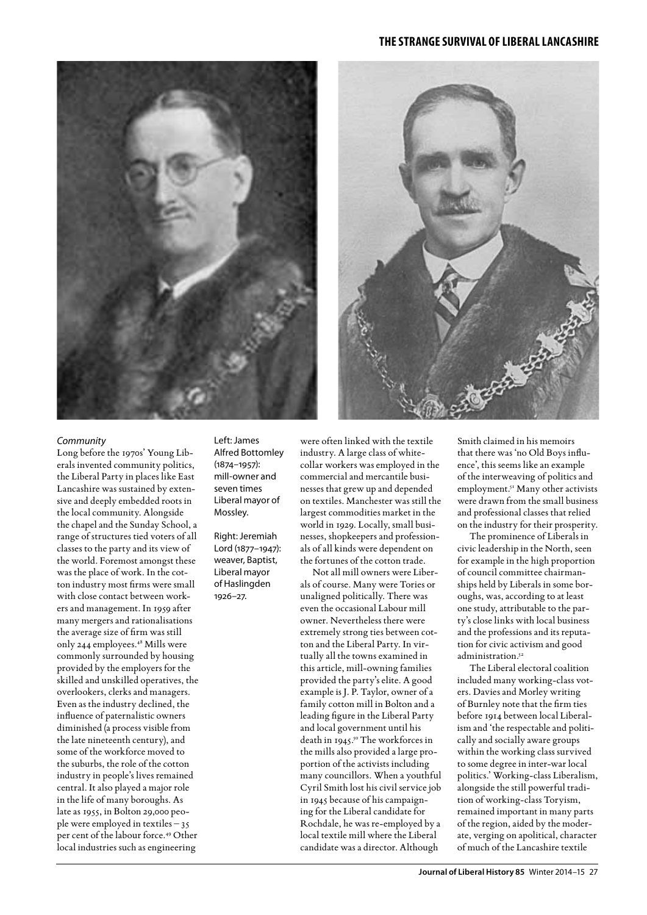



#### *Community*

Long before the 1970s' Young Liberals invented community politics, the Liberal Party in places like East Lancashire was sustained by extensive and deeply embedded roots in the local community. Alongside the chapel and the Sunday School, a range of structures tied voters of all classes to the party and its view of the world. Foremost amongst these was the place of work. In the cotton industry most firms were small with close contact between workers and management. In 1959 after many mergers and rationalisations the average size of firm was still only 244 employees.48 Mills were commonly surrounded by housing provided by the employers for the skilled and unskilled operatives, the overlookers, clerks and managers. Even as the industry declined, the influence of paternalistic owners diminished (a process visible from the late nineteenth century), and some of the workforce moved to the suburbs, the role of the cotton industry in people's lives remained central. It also played a major role in the life of many boroughs. As late as 1955, in Bolton 29,000 people were employed in textiles – 35 per cent of the labour force.49 Other local industries such as engineering

Left: James Alfred Bottomley (1874–1957): mill-owner and seven times Liberal mayor of Mossley.

Right: Jeremiah Lord (1877–1947): weaver, Baptist, Liberal mayor of Haslingden 1926–27.

were often linked with the textile industry. A large class of whitecollar workers was employed in the commercial and mercantile businesses that grew up and depended on textiles. Manchester was still the largest commodities market in the world in 1929. Locally, small businesses, shopkeepers and professionals of all kinds were dependent on the fortunes of the cotton trade.

Not all mill owners were Liberals of course. Many were Tories or unaligned politically. There was even the occasional Labour mill owner. Nevertheless there were extremely strong ties between cotton and the Liberal Party. In virtually all the towns examined in this article, mill-owning families provided the party's elite. A good example is J. P. Taylor, owner of a family cotton mill in Bolton and a leading figure in the Liberal Party and local government until his death in 1945.50 The workforces in the mills also provided a large proportion of the activists including many councillors. When a youthful Cyril Smith lost his civil service job in 1945 because of his campaigning for the Liberal candidate for Rochdale, he was re-employed by a local textile mill where the Liberal candidate was a director. Although

Smith claimed in his memoirs that there was 'no Old Boys influence', this seems like an example of the interweaving of politics and employment.<sup>51</sup> Many other activists were drawn from the small business and professional classes that relied on the industry for their prosperity.

The prominence of Liberals in civic leadership in the North, seen for example in the high proportion of council committee chairmanships held by Liberals in some boroughs, was, according to at least one study, attributable to the party's close links with local business and the professions and its reputation for civic activism and good administration<sup>52</sup>

The Liberal electoral coalition included many working-class voters. Davies and Morley writing of Burnley note that the firm ties before 1914 between local Liberalism and 'the respectable and politically and socially aware groups within the working class survived to some degree in inter-war local politics.' Working-class Liberalism, alongside the still powerful tradition of working-class Toryism, remained important in many parts of the region, aided by the moderate, verging on apolitical, character of much of the Lancashire textile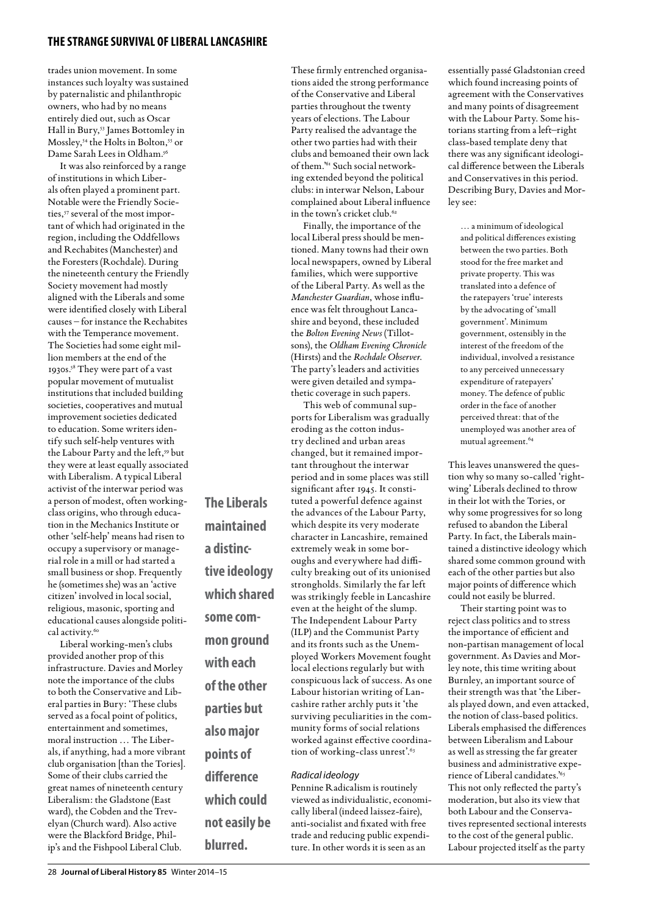trades union movement. In some instances such loyalty was sustained by paternalistic and philanthropic owners, who had by no means entirely died out, such as Oscar Hall in Bury,53 James Bottomley in Mossley,<sup>54</sup> the Holts in Bolton,<sup>55</sup> or Dame Sarah Lees in Oldham.56

It was also reinforced by a range of institutions in which Liberals often played a prominent part. Notable were the Friendly Societies,<sup>57</sup> several of the most important of which had originated in the region, including the Oddfellows and Rechabites (Manchester) and the Foresters (Rochdale). During the nineteenth century the Friendly Society movement had mostly aligned with the Liberals and some were identified closely with Liberal causes – for instance the Rechabites with the Temperance movement. The Societies had some eight million members at the end of the 1930s.58 They were part of a vast popular movement of mutualist institutions that included building societies, cooperatives and mutual improvement societies dedicated to education. Some writers identify such self-help ventures with the Labour Party and the left,<sup>59</sup> but they were at least equally associated with Liberalism. A typical Liberal activist of the interwar period was a person of modest, often workingclass origins, who through education in the Mechanics Institute or other 'self-help' means had risen to occupy a supervisory or managerial role in a mill or had started a small business or shop. Frequently he (sometimes she) was an 'active citizen' involved in local social, religious, masonic, sporting and educational causes alongside political activity.<sup>60</sup>

**The Liberals** 

**maintained** 

**tive ideology which shared** 

**some com-**

**with each** 

**mon ground** 

**of the other** 

**parties but** 

**also major** 

**points of** 

**difference** 

**which could** 

**not easily be** 

**blurred.**

**a distinc-**

Liberal working-men's clubs provided another prop of this infrastructure. Davies and Morley note the importance of the clubs to both the Conservative and Liberal parties in Bury: 'These clubs served as a focal point of politics, entertainment and sometimes, moral instruction … The Liberals, if anything, had a more vibrant club organisation [than the Tories]. Some of their clubs carried the great names of nineteenth century Liberalism: the Gladstone (East ward), the Cobden and the Trevelyan (Church ward). Also active were the Blackford Bridge, Philip's and the Fishpool Liberal Club.

These firmly entrenched organisations aided the strong performance of the Conservative and Liberal parties throughout the twenty years of elections. The Labour Party realised the advantage the other two parties had with their clubs and bemoaned their own lack of them.'61 Such social networking extended beyond the political clubs: in interwar Nelson, Labour complained about Liberal influence in the town's cricket club.<sup>62</sup>

Finally, the importance of the local Liberal press should be mentioned. Many towns had their own local newspapers, owned by Liberal families, which were supportive of the Liberal Party. As well as the *Manchester Guardian*, whose influence was felt throughout Lancashire and beyond, these included the *Bolton Evening News* (Tillotsons), the *Oldham Evening Chronicle* (Hirsts) and the *Rochdale Observer*. The party's leaders and activities were given detailed and sympathetic coverage in such papers.

This web of communal supports for Liberalism was gradually eroding as the cotton industry declined and urban areas changed, but it remained important throughout the interwar period and in some places was still significant after 1945. It constituted a powerful defence against the advances of the Labour Party, which despite its very moderate character in Lancashire, remained extremely weak in some boroughs and everywhere had difficulty breaking out of its unionised strongholds. Similarly the far left was strikingly feeble in Lancashire even at the height of the slump. The Independent Labour Party (ILP) and the Communist Party and its fronts such as the Unemployed Workers Movement fought local elections regularly but with conspicuous lack of success. As one Labour historian writing of Lancashire rather archly puts it 'the surviving peculiarities in the community forms of social relations worked against effective coordination of working-class unrest'.<sup>63</sup>

#### *Radical ideology*

Pennine Radicalism is routinely viewed as individualistic, economically liberal (indeed laissez-faire), anti-socialist and fixated with free trade and reducing public expenditure. In other words it is seen as an

essentially passé Gladstonian creed which found increasing points of agreement with the Conservatives and many points of disagreement with the Labour Party. Some historians starting from a left–right class-based template deny that there was any significant ideological difference between the Liberals and Conservatives in this period. Describing Bury, Davies and Morley see:

… a minimum of ideological and political differences existing between the two parties. Both stood for the free market and private property. This was translated into a defence of the ratepayers 'true' interests by the advocating of 'small government'. Minimum government, ostensibly in the interest of the freedom of the individual, involved a resistance to any perceived unnecessary expenditure of ratepayers' money. The defence of public order in the face of another perceived threat: that of the unemployed was another area of mutual agreement.64

This leaves unanswered the question why so many so-called 'rightwing' Liberals declined to throw in their lot with the Tories, or why some progressives for so long refused to abandon the Liberal Party. In fact, the Liberals maintained a distinctive ideology which shared some common ground with each of the other parties but also major points of difference which could not easily be blurred.

Their starting point was to reject class politics and to stress the importance of efficient and non-partisan management of local government. As Davies and Morley note, this time writing about Burnley, an important source of their strength was that 'the Liberals played down, and even attacked, the notion of class-based politics. Liberals emphasised the differences between Liberalism and Labour as well as stressing the far greater business and administrative experience of Liberal candidates.<sup>'65</sup> This not only reflected the party's moderation, but also its view that both Labour and the Conservatives represented sectional interests to the cost of the general public. Labour projected itself as the party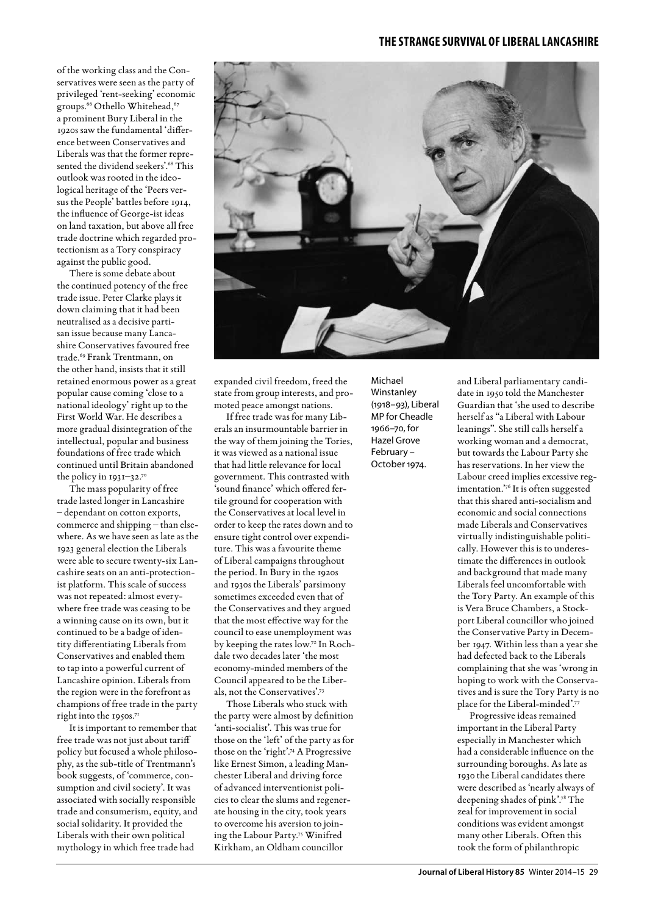of the working class and the Conservatives were seen as the party of privileged 'rent-seeking' economic groups.<sup>66</sup> Othello Whitehead,<sup>67</sup> a prominent Bury Liberal in the 1920s saw the fundamental 'difference between Conservatives and Liberals was that the former represented the dividend seekers'.<sup>68</sup> This outlook was rooted in the ideological heritage of the 'Peers versus the People' battles before 1914, the influence of George-ist ideas on land taxation, but above all free trade doctrine which regarded protectionism as a Tory conspiracy against the public good.

There is some debate about the continued potency of the free trade issue. Peter Clarke plays it down claiming that it had been neutralised as a decisive partisan issue because many Lancashire Conservatives favoured free trade.69 Frank Trentmann, on the other hand, insists that it still retained enormous power as a great popular cause coming 'close to a national ideology' right up to the First World War. He describes a more gradual disintegration of the intellectual, popular and business foundations of free trade which continued until Britain abandoned the policy in 1931–32.70

The mass popularity of free trade lasted longer in Lancashire – dependant on cotton exports, commerce and shipping – than elsewhere. As we have seen as late as the 1923 general election the Liberals were able to secure twenty-six Lancashire seats on an anti-protectionist platform. This scale of success was not repeated: almost everywhere free trade was ceasing to be a winning cause on its own, but it continued to be a badge of identity differentiating Liberals from Conservatives and enabled them to tap into a powerful current of Lancashire opinion. Liberals from the region were in the forefront as champions of free trade in the party right into the 1950s.<sup>71</sup>

It is important to remember that free trade was not just about tariff policy but focused a whole philosophy, as the sub-title of Trentmann's book suggests, of 'commerce, consumption and civil society'. It was associated with socially responsible trade and consumerism, equity, and social solidarity. It provided the Liberals with their own political mythology in which free trade had



expanded civil freedom, freed the state from group interests, and promoted peace amongst nations.

If free trade was for many Liberals an insurmountable barrier in the way of them joining the Tories, it was viewed as a national issue that had little relevance for local government. This contrasted with 'sound finance' which offered fertile ground for cooperation with the Conservatives at local level in order to keep the rates down and to ensure tight control over expenditure. This was a favourite theme of Liberal campaigns throughout the period. In Bury in the 1920s and 1930s the Liberals' parsimony sometimes exceeded even that of the Conservatives and they argued that the most effective way for the council to ease unemployment was by keeping the rates low.72 In Rochdale two decades later 'the most economy-minded members of the Council appeared to be the Liberals, not the Conservatives'.73

Those Liberals who stuck with the party were almost by definition 'anti-socialist'. This was true for those on the 'left' of the party as for those on the 'right'.74 A Progressive like Ernest Simon, a leading Manchester Liberal and driving force of advanced interventionist policies to clear the slums and regenerate housing in the city, took years to overcome his aversion to joining the Labour Party.75 Winifred Kirkham, an Oldham councillor

Michael Winstanley (1918–93), Liberal MP for Cheadle 1966–70, for Hazel Grove February – October 1974.

and Liberal parliamentary candidate in 1950 told the Manchester Guardian that 'she used to describe herself as "a Liberal with Labour leanings". She still calls herself a working woman and a democrat, but towards the Labour Party she has reservations. In her view the Labour creed implies excessive regimentation.'76 It is often suggested that this shared anti-socialism and economic and social connections made Liberals and Conservatives virtually indistinguishable politically. However this is to underestimate the differences in outlook and background that made many Liberals feel uncomfortable with the Tory Party. An example of this is Vera Bruce Chambers, a Stockport Liberal councillor who joined the Conservative Party in December 1947. Within less than a year she had defected back to the Liberals complaining that she was 'wrong in hoping to work with the Conservatives and is sure the Tory Party is no place for the Liberal-minded'.77

Progressive ideas remained important in the Liberal Party especially in Manchester which had a considerable influence on the surrounding boroughs. As late as 1930 the Liberal candidates there were described as 'nearly always of deepening shades of pink'.78 The zeal for improvement in social conditions was evident amongst many other Liberals. Often this took the form of philanthropic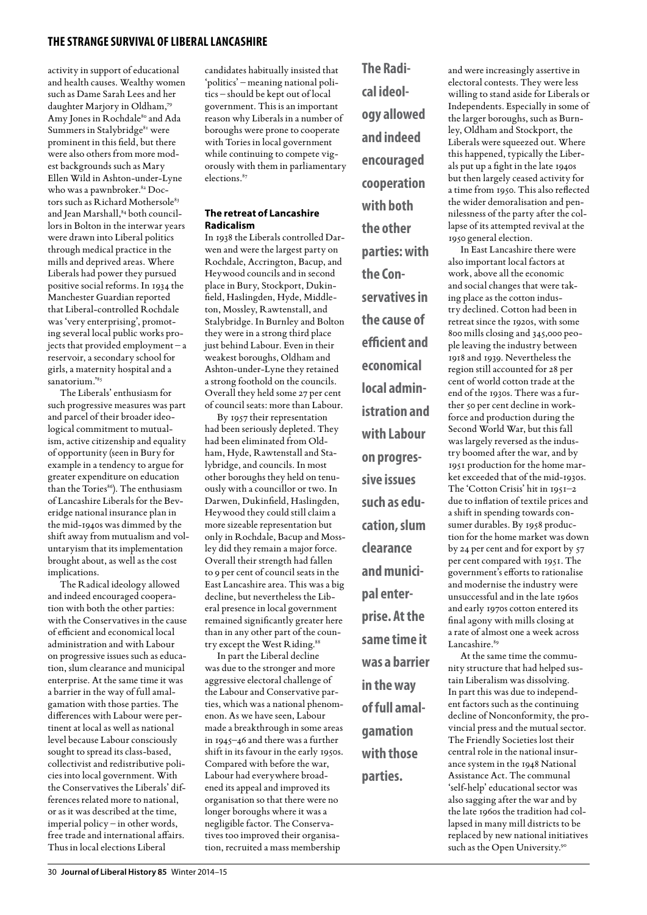activity in support of educational and health causes. Wealthy women such as Dame Sarah Lees and her daughter Marjory in Oldham,79 Amy Jones in Rochdale80 and Ada Summers in Stalybridge<sup>81</sup> were prominent in this field, but there were also others from more modest backgrounds such as Mary Ellen Wild in Ashton-under-Lyne who was a pawnbroker.82 Doctors such as Richard Mothersole<sup>83</sup> and Jean Marshall, 84 both councillors in Bolton in the interwar years were drawn into Liberal politics through medical practice in the mills and deprived areas. Where Liberals had power they pursued positive social reforms. In 1934 the Manchester Guardian reported that Liberal-controlled Rochdale was 'very enterprising', promoting several local public works projects that provided employment – a reservoir, a secondary school for girls, a maternity hospital and a sanatorium.'85

The Liberals' enthusiasm for such progressive measures was part and parcel of their broader ideological commitment to mutualism, active citizenship and equality of opportunity (seen in Bury for example in a tendency to argue for greater expenditure on education than the Tories<sup>86</sup>). The enthusiasm of Lancashire Liberals for the Beveridge national insurance plan in the mid-1940s was dimmed by the shift away from mutualism and voluntaryism that its implementation brought about, as well as the cost implications.

The Radical ideology allowed and indeed encouraged cooperation with both the other parties: with the Conservatives in the cause of efficient and economical local administration and with Labour on progressive issues such as education, slum clearance and municipal enterprise. At the same time it was a barrier in the way of full amalgamation with those parties. The differences with Labour were pertinent at local as well as national level because Labour consciously sought to spread its class-based, collectivist and redistributive policies into local government. With the Conservatives the Liberals' differences related more to national, or as it was described at the time, imperial policy – in other words, free trade and international affairs. Thus in local elections Liberal

candidates habitually insisted that 'politics' – meaning national politics – should be kept out of local government. This is an important reason why Liberals in a number of boroughs were prone to cooperate with Tories in local government while continuing to compete vigorously with them in parliamentary elections.<sup>87</sup>

#### **The retreat of Lancashire Radicalism**

In 1938 the Liberals controlled Darwen and were the largest party on Rochdale, Accrington, Bacup, and Heywood councils and in second place in Bury, Stockport, Dukinfield, Haslingden, Hyde, Middleton, Mossley, Rawtenstall, and Stalybridge. In Burnley and Bolton they were in a strong third place just behind Labour. Even in their weakest boroughs, Oldham and Ashton-under-Lyne they retained a strong foothold on the councils. Overall they held some 27 per cent of council seats: more than Labour.

By 1957 their representation had been seriously depleted. They had been eliminated from Oldham, Hyde, Rawtenstall and Stalybridge, and councils. In most other boroughs they held on tenuously with a councillor or two. In Darwen, Dukinfield, Haslingden, Heywood they could still claim a more sizeable representation but only in Rochdale, Bacup and Mossley did they remain a major force. Overall their strength had fallen to 9 per cent of council seats in the East Lancashire area. This was a big decline, but nevertheless the Liberal presence in local government remained significantly greater here than in any other part of the country except the West Riding.<sup>88</sup>

In part the Liberal decline was due to the stronger and more aggressive electoral challenge of the Labour and Conservative parties, which was a national phenomenon. As we have seen, Labour made a breakthrough in some areas in 1945–46 and there was a further shift in its favour in the early 1950s. Compared with before the war, Labour had everywhere broadened its appeal and improved its organisation so that there were no longer boroughs where it was a negligible factor. The Conservatives too improved their organisation, recruited a mass membership

**The Radical ideology allowed and indeed encouraged cooperation with both the other parties: with the Conservatives in the cause of efficient and economical local administration and with Labour on progressive issues such as education, slum clearance and municipal enterprise. At the same time it was a barrier in the way of full amalgamation with those** 

**parties.**

and were increasingly assertive in electoral contests. They were less willing to stand aside for Liberals or Independents. Especially in some of the larger boroughs, such as Burnley, Oldham and Stockport, the Liberals were squeezed out. Where this happened, typically the Liberals put up a fight in the late 1940s but then largely ceased activity for a time from 1950. This also reflected the wider demoralisation and pennilessness of the party after the collapse of its attempted revival at the 1950 general election.

In East Lancashire there were also important local factors at work, above all the economic and social changes that were taking place as the cotton industry declined. Cotton had been in retreat since the 1920s, with some 800 mills closing and 345,000 people leaving the industry between 1918 and 1939. Nevertheless the region still accounted for 28 per cent of world cotton trade at the end of the 1930s. There was a further 50 per cent decline in workforce and production during the Second World War, but this fall was largely reversed as the industry boomed after the war, and by 1951 production for the home market exceeded that of the mid-1930s. The 'Cotton Crisis' hit in 1951–2 due to inflation of textile prices and a shift in spending towards consumer durables. By 1958 production for the home market was down by 24 per cent and for export by 57 per cent compared with 1951. The government's efforts to rationalise and modernise the industry were unsuccessful and in the late 1960s and early 1970s cotton entered its final agony with mills closing at a rate of almost one a week across Lancashire.<sup>89</sup>

At the same time the community structure that had helped sustain Liberalism was dissolving. In part this was due to independent factors such as the continuing decline of Nonconformity, the provincial press and the mutual sector. The Friendly Societies lost their central role in the national insurance system in the 1948 National Assistance Act. The communal 'self-help' educational sector was also sagging after the war and by the late 1960s the tradition had collapsed in many mill districts to be replaced by new national initiatives such as the Open University.90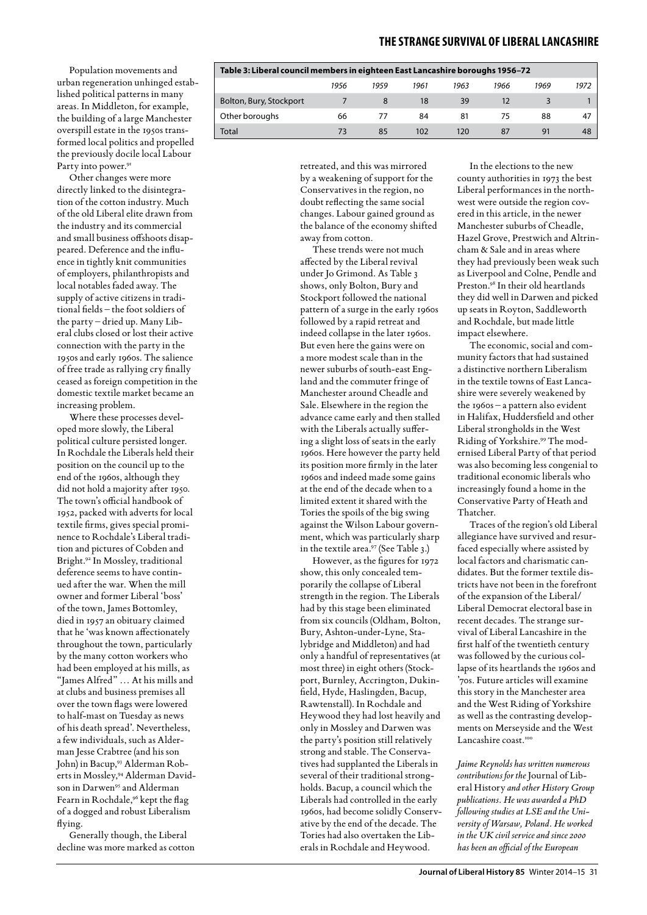Population movements and urban regeneration unhinged established political patterns in many areas. In Middleton, for example, the building of a large Manchester overspill estate in the 1950s transformed local politics and propelled the previously docile local Labour Party into power.<sup>91</sup>

Other changes were more directly linked to the disintegration of the cotton industry. Much of the old Liberal elite drawn from the industry and its commercial and small business offshoots disappeared. Deference and the influence in tightly knit communities of employers, philanthropists and local notables faded away. The supply of active citizens in traditional fields – the foot soldiers of the party – dried up. Many Liberal clubs closed or lost their active connection with the party in the 1950s and early 1960s. The salience of free trade as rallying cry finally ceased as foreign competition in the domestic textile market became an increasing problem.

Where these processes developed more slowly, the Liberal political culture persisted longer. In Rochdale the Liberals held their position on the council up to the end of the 1960s, although they did not hold a majority after 1950. The town's official handbook of 1952, packed with adverts for local textile firms, gives special prominence to Rochdale's Liberal tradition and pictures of Cobden and Bright.92 In Mossley, traditional deference seems to have continued after the war. When the mill owner and former Liberal 'boss' of the town, James Bottomley, died in 1957 an obituary claimed that he 'was known affectionately throughout the town, particularly by the many cotton workers who had been employed at his mills, as "James Alfred" … At his mills and at clubs and business premises all over the town flags were lowered to half-mast on Tuesday as news of his death spread'. Nevertheless, a few individuals, such as Alderman Jesse Crabtree (and his son John) in Bacup,<sup>93</sup> Alderman Roberts in Mossley,94 Alderman Davidson in Darwen<sup>95</sup> and Alderman Fearn in Rochdale,96 kept the flag of a dogged and robust Liberalism flying.

Generally though, the Liberal decline was more marked as cotton

| Table 3: Liberal council members in eighteen East Lancashire boroughs 1956–72 |      |      |      |      |      |      |      |  |  |  |
|-------------------------------------------------------------------------------|------|------|------|------|------|------|------|--|--|--|
|                                                                               | 1956 | 1959 | 1961 | 1963 | 1966 | 1969 | 1972 |  |  |  |
| Bolton, Bury, Stockport                                                       |      |      | 18   | 39   | 12   |      |      |  |  |  |
| Other boroughs                                                                | 66   | 77   | 84   | 81   | 75   | 88   | 47   |  |  |  |
| Total                                                                         | 73   | 85   | 102  | 120  | 87   | 91   | 48   |  |  |  |

retreated, and this was mirrored by a weakening of support for the Conservatives in the region, no doubt reflecting the same social changes. Labour gained ground as the balance of the economy shifted away from cotton.

These trends were not much affected by the Liberal revival under Jo Grimond. As Table 3 shows, only Bolton, Bury and Stockport followed the national pattern of a surge in the early 1960s followed by a rapid retreat and indeed collapse in the later 1960s. But even here the gains were on a more modest scale than in the newer suburbs of south-east England and the commuter fringe of Manchester around Cheadle and Sale. Elsewhere in the region the advance came early and then stalled with the Liberals actually suffering a slight loss of seats in the early 1960s. Here however the party held its position more firmly in the later 1960s and indeed made some gains at the end of the decade when to a limited extent it shared with the Tories the spoils of the big swing against the Wilson Labour government, which was particularly sharp in the textile area.<sup>97</sup> (See Table 3.)

However, as the figures for 1972 show, this only concealed temporarily the collapse of Liberal strength in the region. The Liberals had by this stage been eliminated from six councils (Oldham, Bolton, Bury, Ashton-under-Lyne, Stalybridge and Middleton) and had only a handful of representatives (at most three) in eight others (Stockport, Burnley, Accrington, Dukinfield, Hyde, Haslingden, Bacup, Rawtenstall). In Rochdale and Heywood they had lost heavily and only in Mossley and Darwen was the party's position still relatively strong and stable. The Conservatives had supplanted the Liberals in several of their traditional strongholds. Bacup, a council which the Liberals had controlled in the early 1960s, had become solidly Conservative by the end of the decade. The Tories had also overtaken the Liberals in Rochdale and Heywood.

In the elections to the new county authorities in 1973 the best Liberal performances in the northwest were outside the region covered in this article, in the newer Manchester suburbs of Cheadle, Hazel Grove, Prestwich and Altrincham & Sale and in areas where they had previously been weak such as Liverpool and Colne, Pendle and Preston.<sup>98</sup> In their old heartlands they did well in Darwen and picked up seats in Royton, Saddleworth and Rochdale, but made little impact elsewhere.

The economic, social and community factors that had sustained a distinctive northern Liberalism in the textile towns of East Lancashire were severely weakened by the 1960s – a pattern also evident in Halifax, Huddersfield and other Liberal strongholds in the West Riding of Yorkshire.99 The modernised Liberal Party of that period was also becoming less congenial to traditional economic liberals who increasingly found a home in the Conservative Party of Heath and Thatcher.

Traces of the region's old Liberal allegiance have survived and resurfaced especially where assisted by local factors and charismatic candidates. But the former textile districts have not been in the forefront of the expansion of the Liberal/ Liberal Democrat electoral base in recent decades. The strange survival of Liberal Lancashire in the first half of the twentieth century was followed by the curious collapse of its heartlands the 1960s and '70s. Future articles will examine this story in the Manchester area and the West Riding of Yorkshire as well as the contrasting developments on Merseyside and the West Lancashire coast.<sup>100</sup>

*Jaime Reynolds has written numerous contributions for the* Journal of Liberal History *and other History Group publications. He was awarded a PhD following studies at LSE and the University of Warsaw, Poland. He worked in the UK civil service and since 2000 has been an official of the European*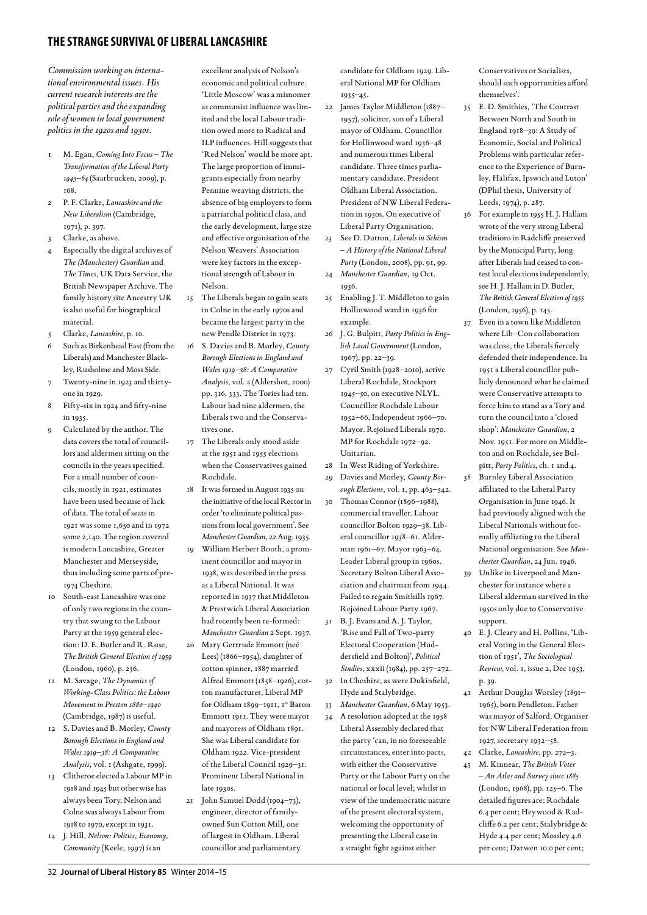*Commission working on international environmental issues. His current research interests are the political parties and the expanding role of women in local government politics in the 1920s and 1930s.*

- 1 M. Egan, *Coming Into Focus The Transformation of the Liberal Party 1945–64* (Saarbrucken, 2009), p. 168.
- 2 P. F. Clarke, *Lancashire and the New Liberalism* (Cambridge, 1971), p. 397.
- 3 Clarke, as above.
- 4 Especially the digital archives of *The (Manchester) Guardian* and *The Times*, UK Data Service, the British Newspaper Archive. The family history site Ancestry UK is also useful for biographical material.
- 5 Clarke, *Lancashire*, p. 10.
- 6 Such as Birkenhead East (from the Liberals) and Manchester Blackley, Rusholme and Moss Side.
- 7 Twenty-nine in 1923 and thirtyone in 1929.
- Fifty-six in 1924 and fifty-nine in 1935.
- Calculated by the author. The data covers the total of councillors and aldermen sitting on the councils in the years specified. For a small number of councils, mostly in 1921, estimates have been used because of lack of data. The total of seats in 1921 was some 1,650 and in 1972 some 2,140. The region covered is modern Lancashire, Greater Manchester and Merseyside, thus including some parts of pre-1974 Cheshire.
- 10 South-east Lancashire was one of only two regions in the country that swung to the Labour Party at the 1959 general election: D. E. Butler and R. Rose, *The British General Election of 1959* (London, 1960), p. 236.
- 11 M. Savage, *The Dynamics of Working-Class Politics: the Labour Movement in Preston 1880–1940*  (Cambridge, 1987) is useful.
- 12 S. Davies and B. Morley, *County Borough Elections in England and Wales 1919–38: A Comparative Analysis*, vol. 1 (Ashgate, 1999).
- 13 Clitheroe elected a Labour MP in 1918 and 1945 but otherwise has always been Tory. Nelson and Colne was always Labour from 1918 to 1970, except in 1931.
- 14 J. Hill, *Nelson: Politics, Economy, Community* (Keele, 1997) is an

excellent analysis of Nelson's economic and political culture. 'Little Moscow' was a misnomer as communist influence was limited and the local Labour tradition owed more to Radical and ILP influences. Hill suggests that 'Red Nelson' would be more apt. The large proportion of immigrants especially from nearby Pennine weaving districts, the absence of big employers to form a patriarchal political class, and the early development, large size and effective organisation of the Nelson Weavers' Association were key factors in the exceptional strength of Labour in Nelson.

- 15 The Liberals began to gain seats in Colne in the early 1970s and became the largest party in the new Pendle District in 1973.
- 16 S. Davies and B. Morley, *County Borough Elections in England and Wales 1919–38: A Comparative Analysis*, vol. 2 (Aldershot, 2000) pp. 316, 333. The Tories had ten. Labour had nine aldermen, the Liberals two and the Conservatives one.
- 17 The Liberals only stood aside at the 1951 and 1955 elections when the Conservatives gained Rochdale.
- 18 It was formed in August 1935 on the initiative of the local Rector in order 'to eliminate political passions from local government'. See *Manchester Guardian*, 22 Aug. 1935.
- 19 William Herbert Booth, a prominent councillor and mayor in 1938, was described in the press as a Liberal National. It was reported in 1937 that Middleton & Prestwich Liberal Association had recently been re-formed: *Manchester Guardian* 2 Sept. 1937.
- 20 Mary Gertrude Emmott (neé Lees) (1866–1954), daughter of cotton spinner, 1887 married Alfred Emmott (1858–1926), cotton manufacturer, Liberal MP for Oldham 1899-1911, 1st Baron Emmott 1911. They were mayor and mayoress of Oldham 1891. She was Liberal candidate for Oldham 1922. Vice-president of the Liberal Council 1929–31. Prominent Liberal National in late 1930s.
- 21 John Samuel Dodd (1904–73), engineer, director of familyowned Sun Cotton Mill, one of largest in Oldham. Liberal councillor and parliamentary

candidate for Oldham 1929. Liberal National MP for Oldham 1935–45.

- 22 James Taylor Middleton (1887– 1957), solicitor, son of a Liberal mayor of Oldham. Councillor for Hollinwood ward 1936–48 and numerous times Liberal candidate. Three times parliamentary candidate. President Oldham Liberal Association. President of NW Liberal Federation in 1950s. On executive of Liberal Party Organisation.
- 23 See D. Dutton, *Liberals in Schism – A History of the National Liberal Party* (London, 2008), pp. 91, 99.
- 24 *Manchester Guardian*, 19 Oct. 1936.
- 25 Enabling J. T. Middleton to gain Hollinwood ward in 1936 for example.
- 26 J. G. Bulpitt, *Party Politics in English Local Government* (London, 1967), pp. 22–39.
- 27 Cyril Smith (1928–2010), active Liberal Rochdale, Stockport 1945–50, on executive NLYL. Councillor Rochdale Labour 1952–66, Independent 1966–70. Mayor. Rejoined Liberals 1970. MP for Rochdale 1972–92. Unitarian.
- 28 In West Riding of Yorkshire.
- 29 Davies and Morley, *County Borough Elections*, vol. 1, pp. 463–542.
- 30 Thomas Connor (1896–1988), commercial traveller. Labour councillor Bolton 1929–38. Liberal councillor 1938–61. Alderman 1961–67. Mayor 1963–64. Leader Liberal group in 1960s. Secretary Bolton Liberal Association and chairman from 1944. Failed to regain Smithills 1967. Rejoined Labour Party 1967.
- 31 B. J. Evans and A. J. Taylor, 'Rise and Fall of Two-party Electoral Cooperation (Huddersfield and Bolton)', *Political Studies*, xxxii (1984), pp. 257–272.
- 32 In Cheshire, as were Dukinfield, Hyde and Stalybridge.
- 33 *Manchester Guardian*, 6 May 1953.
- 34 A resolution adopted at the 1958 Liberal Assembly declared that the party 'can, in no foreseeable circumstances, enter into pacts, with either the Conservative Party or the Labour Party on the national or local level; whilst in view of the undemocratic nature of the present electoral system, welcoming the opportunity of presenting the Liberal case in a straight fight against either

Conservatives or Socialists, should such opportunities afford themselves'.

- 35 E. D. Smithies, 'The Contrast Between North and South in England 1918–39: A Study of Economic, Social and Political Problems with particular reference to the Experience of Burnley, Halifax, Ipswich and Luton' (DPhil thesis, University of Leeds, 1974), p. 287.
- 36 For example in 1955 H. J. Hallam wrote of the very strong Liberal traditions in Radcliffe preserved by the Municipal Party, long after Liberals had ceased to contest local elections independently, see H. J. Hallam in D. Butler, *The British General Election of 1955*  (London, 1956), p. 145.
- 37 Even in a town like Middleton where Lib–Con collaboration was close, the Liberals fiercely defended their independence. In 1951 a Liberal councillor publicly denounced what he claimed were Conservative attempts to force him to stand as a Tory and turn the council into a 'closed shop': *Manchester Guardian*, 2 Nov. 1951. For more on Middleton and on Rochdale, see Bulpitt, *Party Politics*, ch. 1 and 4.
- 38 Burnley Liberal Association affiliated to the Liberal Party Organisation in June 1946. It had previously aligned with the Liberal Nationals without formally affiliating to the Liberal National organisation. See *Manchester Guardian*, 24 Jun. 1946.
- 39 Unlike in Liverpool and Manchester for instance where a Liberal alderman survived in the 1950s only due to Conservative support.
- 40 E. J. Cleary and H. Pollins, 'Liberal Voting in the General Election of 1951', *The Sociological Review*, vol. 1, issue 2, Dec 1953, p. 39.
- 41 Arthur Douglas Worsley (1891– 1965), born Pendleton. Father was mayor of Salford. Organiser for NW Liberal Federation from 1927, secretary 1932–58.
- 42 Clarke, *Lancashire*, pp. 272–3. 43 M. Kinnear, *The British Voter*
- *An Atlas and Survey since 1885* (London, 1968), pp. 125–6. The detailed figures are: Rochdale 6.4 per cent; Heywood & Radcliffe 6.2 per cent; Stalybridge & Hyde 4.4 per cent; Mossley 4.6 per cent; Darwen 10.0 per cent;